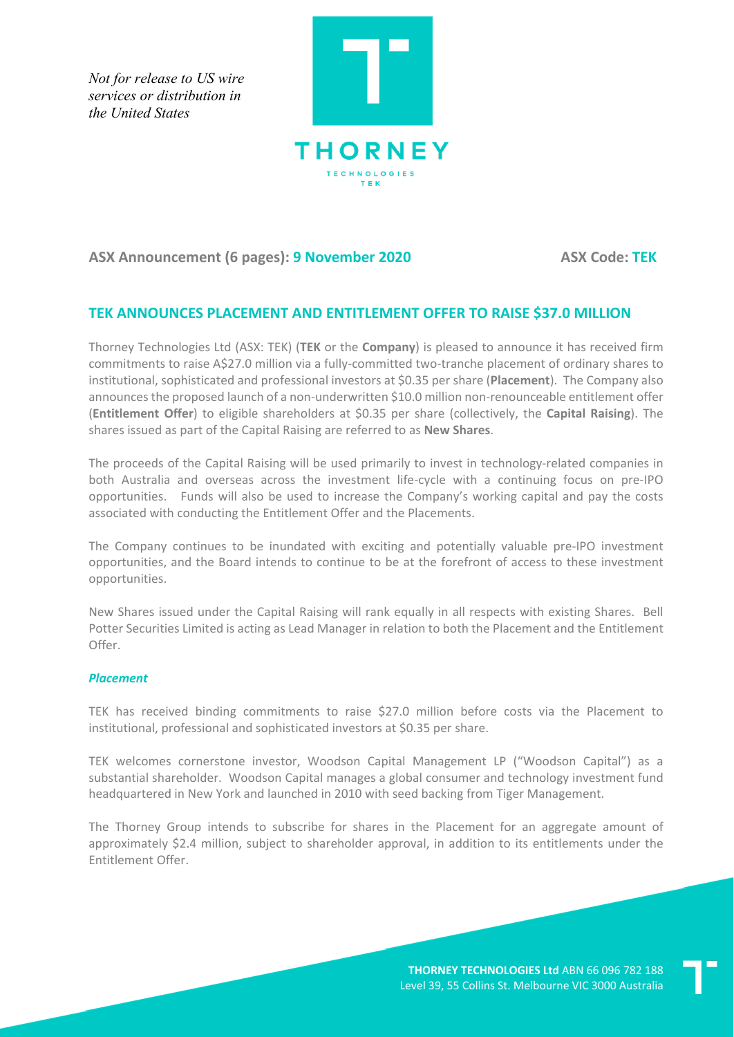*Not for release to US wire services or distribution in the United States*



## **ASX Announcement (6 pages): 9 November 2020 ASX Code: TEK**

# **TEK ANNOUNCES PLACEMENT AND ENTITLEMENT OFFER TO RAISE \$37.0 MILLION**

Thorney Technologies Ltd (ASX: TEK) (**TEK** or the **Company**) is pleased to announce it has received firm commitments to raise A\$27.0 million via a fully-committed two-tranche placement of ordinary shares to institutional, sophisticated and professional investors at \$0.35 per share (**Placement**). The Company also announces the proposed launch of a non-underwritten \$10.0 million non-renounceable entitlement offer (**Entitlement Offer**) to eligible shareholders at \$0.35 per share (collectively, the **Capital Raising**). The shares issued as part of the Capital Raising are referred to as **New Shares**.

The proceeds of the Capital Raising will be used primarily to invest in technology-related companies in both Australia and overseas across the investment life-cycle with a continuing focus on pre-IPO opportunities. Funds will also be used to increase the Company's working capital and pay the costs associated with conducting the Entitlement Offer and the Placements.

The Company continues to be inundated with exciting and potentially valuable pre-IPO investment opportunities, and the Board intends to continue to be at the forefront of access to these investment opportunities.

New Shares issued under the Capital Raising will rank equally in all respects with existing Shares. Bell Potter Securities Limited is acting as Lead Manager in relation to both the Placement and the Entitlement Offer.

### *Placement*

TEK has received binding commitments to raise \$27.0 million before costs via the Placement to institutional, professional and sophisticated investors at \$0.35 per share.

TEK welcomes cornerstone investor, Woodson Capital Management LP ("Woodson Capital") as a substantial shareholder. Woodson Capital manages a global consumer and technology investment fund headquartered in New York and launched in 2010 with seed backing from Tiger Management.

The Thorney Group intends to subscribe for shares in the Placement for an aggregate amount of approximately \$2.4 million, subject to shareholder approval, in addition to its entitlements under the Entitlement Offer.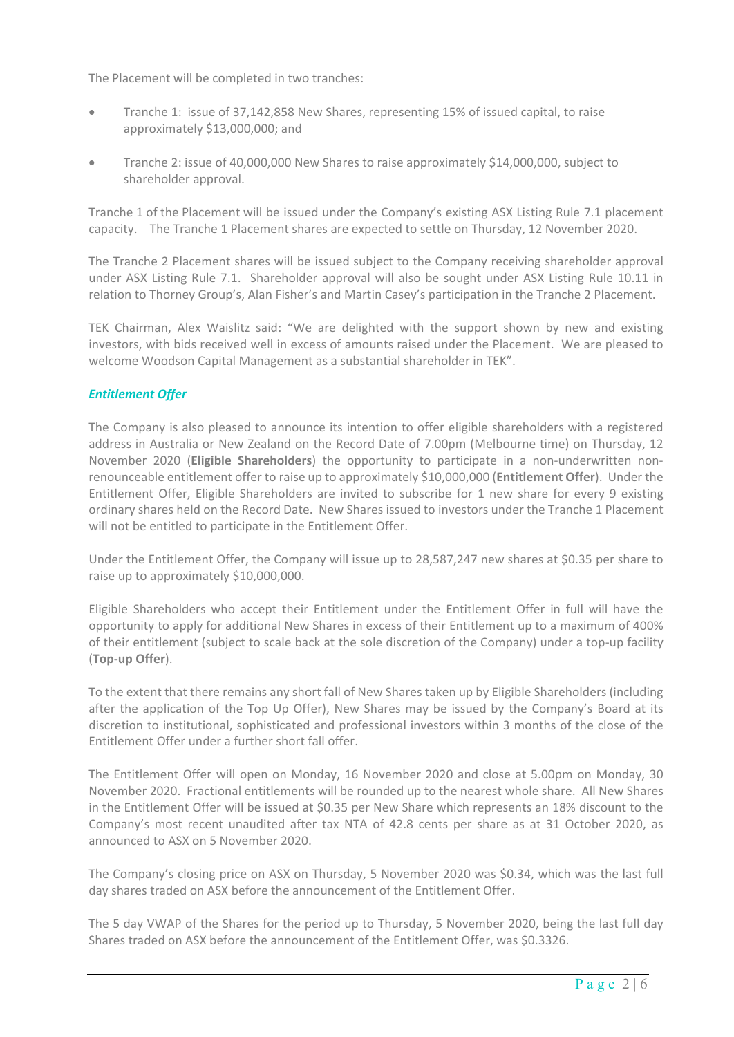The Placement will be completed in two tranches:

- Tranche 1: issue of 37,142,858 New Shares, representing 15% of issued capital, to raise approximately \$13,000,000; and
- Tranche 2: issue of 40,000,000 New Shares to raise approximately \$14,000,000, subject to shareholder approval.

Tranche 1 of the Placement will be issued under the Company's existing ASX Listing Rule 7.1 placement capacity. The Tranche 1 Placement shares are expected to settle on Thursday, 12 November 2020.

The Tranche 2 Placement shares will be issued subject to the Company receiving shareholder approval under ASX Listing Rule 7.1. Shareholder approval will also be sought under ASX Listing Rule 10.11 in relation to Thorney Group's, Alan Fisher's and Martin Casey's participation in the Tranche 2 Placement.

TEK Chairman, Alex Waislitz said: "We are delighted with the support shown by new and existing investors, with bids received well in excess of amounts raised under the Placement. We are pleased to welcome Woodson Capital Management as a substantial shareholder in TEK".

## *Entitlement Offer*

The Company is also pleased to announce its intention to offer eligible shareholders with a registered address in Australia or New Zealand on the Record Date of 7.00pm (Melbourne time) on Thursday, 12 November 2020 (**Eligible Shareholders**) the opportunity to participate in a non-underwritten nonrenounceable entitlement offer to raise up to approximately \$10,000,000 (**Entitlement Offer**). Under the Entitlement Offer, Eligible Shareholders are invited to subscribe for 1 new share for every 9 existing ordinary shares held on the Record Date. New Shares issued to investors under the Tranche 1 Placement will not be entitled to participate in the Entitlement Offer.

Under the Entitlement Offer, the Company will issue up to 28,587,247 new shares at \$0.35 per share to raise up to approximately \$10,000,000.

Eligible Shareholders who accept their Entitlement under the Entitlement Offer in full will have the opportunity to apply for additional New Shares in excess of their Entitlement up to a maximum of 400% of their entitlement (subject to scale back at the sole discretion of the Company) under a top-up facility (**Top-up Offer**).

To the extent that there remains any short fall of New Shares taken up by Eligible Shareholders (including after the application of the Top Up Offer), New Shares may be issued by the Company's Board at its discretion to institutional, sophisticated and professional investors within 3 months of the close of the Entitlement Offer under a further short fall offer.

The Entitlement Offer will open on Monday, 16 November 2020 and close at 5.00pm on Monday, 30 November 2020. Fractional entitlements will be rounded up to the nearest whole share. All New Shares in the Entitlement Offer will be issued at \$0.35 per New Share which represents an 18% discount to the Company's most recent unaudited after tax NTA of 42.8 cents per share as at 31 October 2020, as announced to ASX on 5 November 2020.

The Company's closing price on ASX on Thursday, 5 November 2020 was \$0.34, which was the last full day shares traded on ASX before the announcement of the Entitlement Offer.

The 5 day VWAP of the Shares for the period up to Thursday, 5 November 2020, being the last full day Shares traded on ASX before the announcement of the Entitlement Offer, was \$0.3326.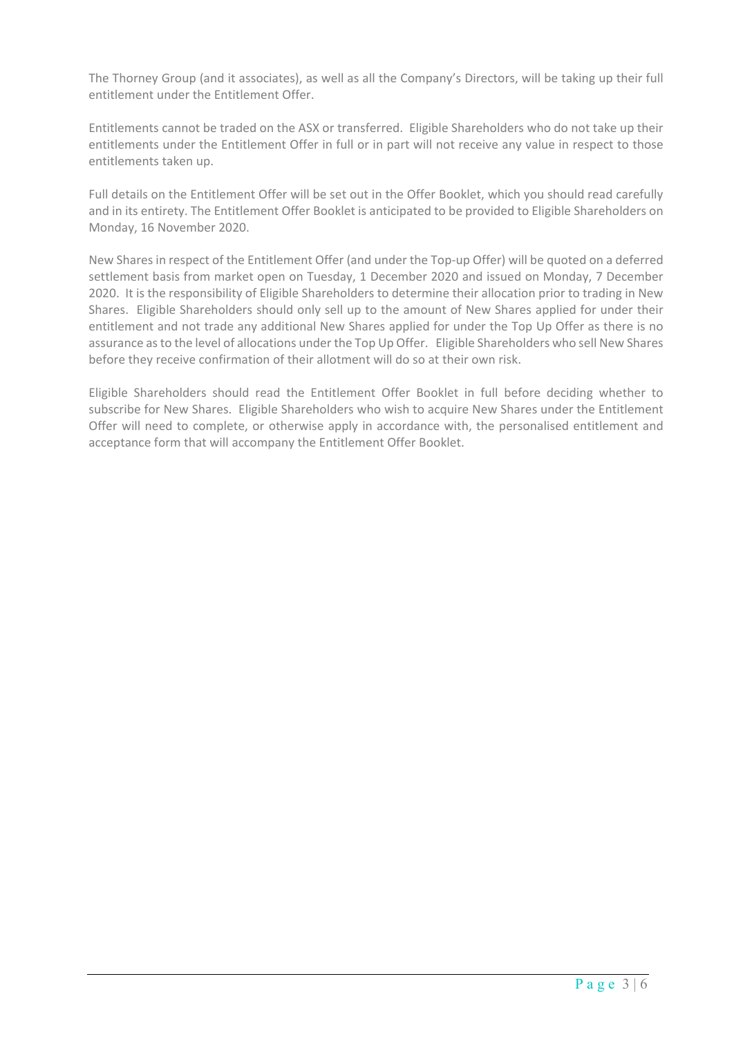The Thorney Group (and it associates), as well as all the Company's Directors, will be taking up their full entitlement under the Entitlement Offer.

Entitlements cannot be traded on the ASX or transferred. Eligible Shareholders who do not take up their entitlements under the Entitlement Offer in full or in part will not receive any value in respect to those entitlements taken up.

Full details on the Entitlement Offer will be set out in the Offer Booklet, which you should read carefully and in its entirety. The Entitlement Offer Booklet is anticipated to be provided to Eligible Shareholders on Monday, 16 November 2020.

New Shares in respect of the Entitlement Offer (and under the Top-up Offer) will be quoted on a deferred settlement basis from market open on Tuesday, 1 December 2020 and issued on Monday, 7 December 2020. It is the responsibility of Eligible Shareholders to determine their allocation prior to trading in New Shares. Eligible Shareholders should only sell up to the amount of New Shares applied for under their entitlement and not trade any additional New Shares applied for under the Top Up Offer as there is no assurance as to the level of allocations under the Top Up Offer. Eligible Shareholders who sell New Shares before they receive confirmation of their allotment will do so at their own risk.

Eligible Shareholders should read the Entitlement Offer Booklet in full before deciding whether to subscribe for New Shares. Eligible Shareholders who wish to acquire New Shares under the Entitlement Offer will need to complete, or otherwise apply in accordance with, the personalised entitlement and acceptance form that will accompany the Entitlement Offer Booklet.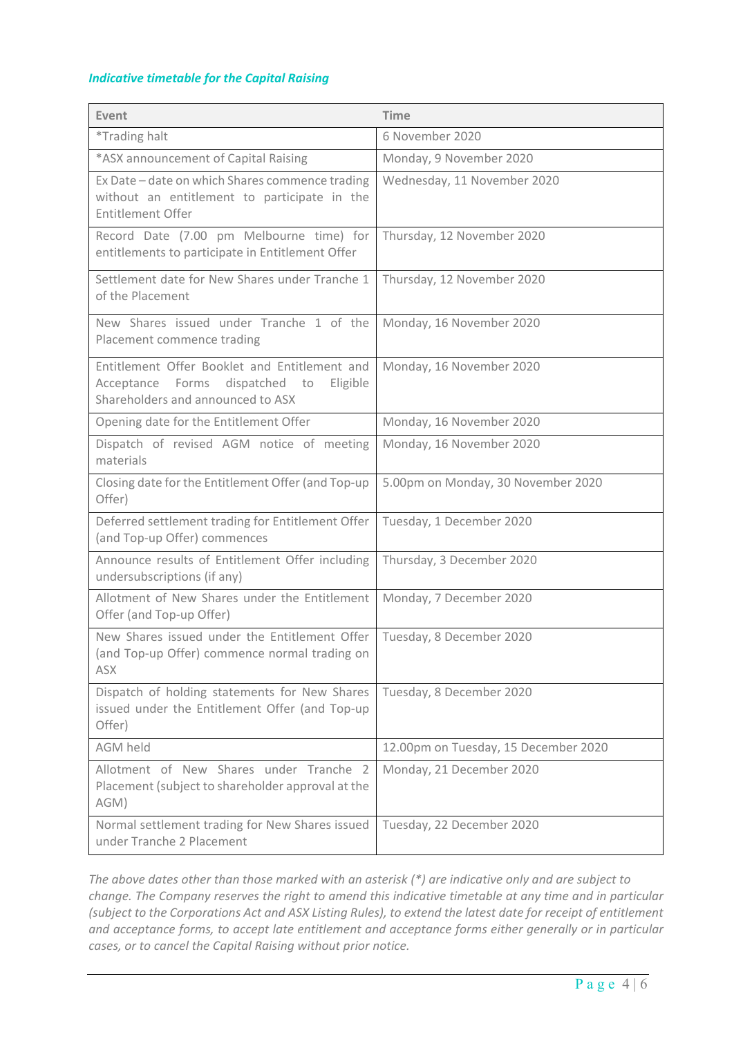### *Indicative timetable for the Capital Raising*

| Event                                                                                                                               | <b>Time</b>                          |
|-------------------------------------------------------------------------------------------------------------------------------------|--------------------------------------|
| <i>*Trading halt</i>                                                                                                                | 6 November 2020                      |
| *ASX announcement of Capital Raising                                                                                                | Monday, 9 November 2020              |
| Ex Date - date on which Shares commence trading<br>without an entitlement to participate in the<br>Entitlement Offer                | Wednesday, 11 November 2020          |
| Record Date (7.00 pm Melbourne time) for<br>entitlements to participate in Entitlement Offer                                        | Thursday, 12 November 2020           |
| Settlement date for New Shares under Tranche 1<br>of the Placement                                                                  | Thursday, 12 November 2020           |
| New Shares issued under Tranche 1 of the<br>Placement commence trading                                                              | Monday, 16 November 2020             |
| Entitlement Offer Booklet and Entitlement and<br>Acceptance Forms<br>dispatched to<br>Eligible<br>Shareholders and announced to ASX | Monday, 16 November 2020             |
| Opening date for the Entitlement Offer                                                                                              | Monday, 16 November 2020             |
| Dispatch of revised AGM notice of meeting<br>materials                                                                              | Monday, 16 November 2020             |
| Closing date for the Entitlement Offer (and Top-up<br>Offer)                                                                        | 5.00pm on Monday, 30 November 2020   |
| Deferred settlement trading for Entitlement Offer<br>(and Top-up Offer) commences                                                   | Tuesday, 1 December 2020             |
| Announce results of Entitlement Offer including<br>undersubscriptions (if any)                                                      | Thursday, 3 December 2020            |
| Allotment of New Shares under the Entitlement<br>Offer (and Top-up Offer)                                                           | Monday, 7 December 2020              |
| New Shares issued under the Entitlement Offer<br>(and Top-up Offer) commence normal trading on<br><b>ASX</b>                        | Tuesday, 8 December 2020             |
| Dispatch of holding statements for New Shares<br>issued under the Entitlement Offer (and Top-up<br>Offer)                           | Tuesday, 8 December 2020             |
| <b>AGM held</b>                                                                                                                     | 12.00pm on Tuesday, 15 December 2020 |
| Allotment of New Shares under Tranche 2<br>Placement (subject to shareholder approval at the<br>AGM)                                | Monday, 21 December 2020             |
| Normal settlement trading for New Shares issued<br>under Tranche 2 Placement                                                        | Tuesday, 22 December 2020            |

*The above dates other than those marked with an asterisk (\*) are indicative only and are subject to change. The Company reserves the right to amend this indicative timetable at any time and in particular (subject to the Corporations Act and ASX Listing Rules), to extend the latest date for receipt of entitlement and acceptance forms, to accept late entitlement and acceptance forms either generally or in particular cases, or to cancel the Capital Raising without prior notice.*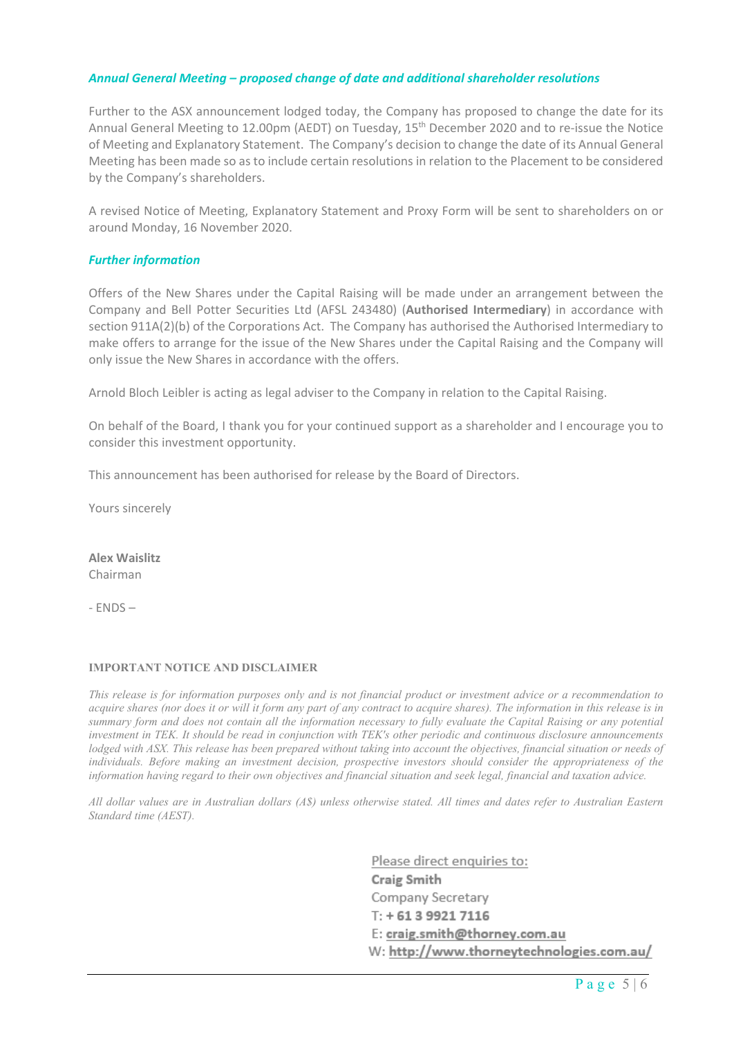### *Annual General Meeting – proposed change of date and additional shareholder resolutions*

Further to the ASX announcement lodged today, the Company has proposed to change the date for its Annual General Meeting to 12.00pm (AEDT) on Tuesday, 15th December 2020 and to re-issue the Notice of Meeting and Explanatory Statement. The Company's decision to change the date of its Annual General Meeting has been made so as to include certain resolutions in relation to the Placement to be considered by the Company's shareholders.

A revised Notice of Meeting, Explanatory Statement and Proxy Form will be sent to shareholders on or around Monday, 16 November 2020.

### *Further information*

Offers of the New Shares under the Capital Raising will be made under an arrangement between the Company and Bell Potter Securities Ltd (AFSL 243480) (**Authorised Intermediary**) in accordance with section 911A(2)(b) of the Corporations Act. The Company has authorised the Authorised Intermediary to make offers to arrange for the issue of the New Shares under the Capital Raising and the Company will only issue the New Shares in accordance with the offers.

Arnold Bloch Leibler is acting as legal adviser to the Company in relation to the Capital Raising.

On behalf of the Board, I thank you for your continued support as a shareholder and I encourage you to consider this investment opportunity.

This announcement has been authorised for release by the Board of Directors.

Yours sincerely

**Alex Waislitz** Chairman

- ENDS –

### **IMPORTANT NOTICE AND DISCLAIMER**

*This release is for information purposes only and is not financial product or investment advice or a recommendation to acquire shares (nor does it or will it form any part of any contract to acquire shares). The information in this release is in summary form and does not contain all the information necessary to fully evaluate the Capital Raising or any potential investment in TEK. It should be read in conjunction with TEK's other periodic and continuous disclosure announcements lodged with ASX. This release has been prepared without taking into account the objectives, financial situation or needs of individuals. Before making an investment decision, prospective investors should consider the appropriateness of the information having regard to their own objectives and financial situation and seek legal, financial and taxation advice.* 

*All dollar values are in Australian dollars (A\$) unless otherwise stated. All times and dates refer to Australian Eastern Standard time (AEST).* 

> Please direct enquiries to: **Craig Smith** Company Secretary  $T: +61399217116$ E: craig.smith@thorney.com.au W: http://www.thorneytechnologies.com.au/